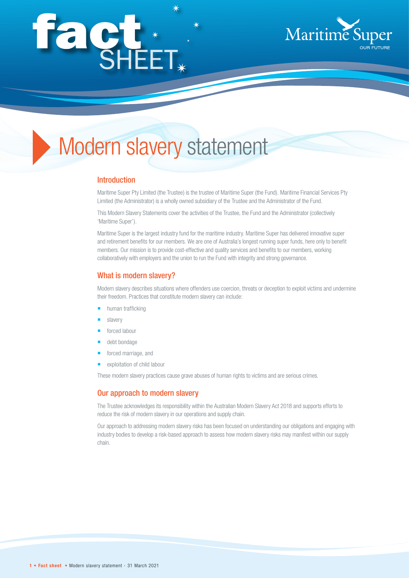# façt\*



# Modern slavery statement

### Introduction

Maritime Super Pty Limited (the Trustee) is the trustee of Maritime Super (the Fund). Maritime Financial Services Pty Limited (the Administrator) is a wholly owned subsidiary of the Trustee and the Administrator of the Fund.

This Modern Slavery Statements cover the activities of the Trustee, the Fund and the Administrator (collectively 'Maritime Super').

Maritime Super is the largest industry fund for the maritime industry. Maritime Super has delivered innovative super and retirement benefits for our members. We are one of Australia's longest running super funds, here only to benefit members. Our mission is to provide cost-effective and quality services and benefits to our members, working collaboratively with employers and the union to run the Fund with integrity and strong governance.

# What is modern slavery?

Modern slavery describes situations where offenders use coercion, threats or deception to exploit victims and undermine their freedom. Practices that constitute modern slavery can include:

- human trafficking
- slavery
- forced labour
- debt bondage
- forced marriage, and
- exploitation of child labour

These modern slavery practices cause grave abuses of human rights to victims and are serious crimes.

#### Our approach to modern slavery

The Trustee acknowledges its responsibility within the Australian Modern Slavery Act 2018 and supports efforts to reduce the risk of modern slavery in our operations and supply chain.

Our approach to addressing modern slavery risks has been focused on understanding our obligations and engaging with industry bodies to develop a risk-based approach to assess how modern slavery risks may manifest within our supply chain.